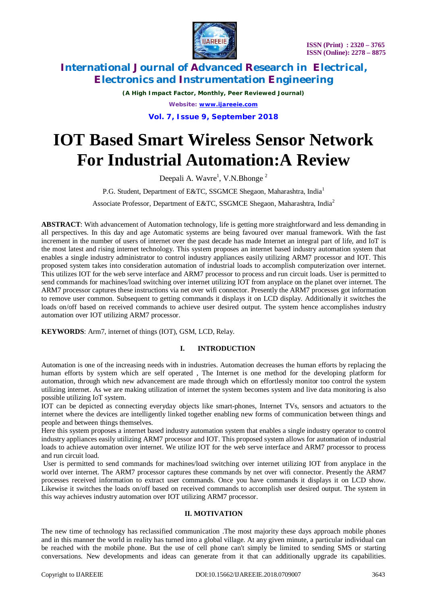

*(A High Impact Factor, Monthly, Peer Reviewed Journal) Website: [www.ijareeie.com](http://www.ijareeie.com)*

**Vol. 7, Issue 9, September 2018**

# **IOT Based Smart Wireless Sensor Network For Industrial Automation:A Review**

Deepali A. Wavre<sup>1</sup>, V.N.Bhonge<sup>2</sup>

P.G. Student, Department of E&TC, SSGMCE Shegaon, Maharashtra, India<sup>1</sup>

Associate Professor, Department of E&TC, SSGMCE Shegaon, Maharashtra, India<sup>2</sup>

**ABSTRACT**: With advancement of Automation technology, life is getting more straightforward and less demanding in all perspectives. In this day and age Automatic systems are being favoured over manual framework. With the fast increment in the number of users of internet over the past decade has made Internet an integral part of life, and IoT is the most latest and rising internet technology. This system proposes an internet based industry automation system that enables a single industry administrator to control industry appliances easily utilizing ARM7 processor and IOT. This proposed system takes into consideration automation of industrial loads to accomplish computerization over internet. This utilizes IOT for the web serve interface and ARM7 processor to process and run circuit loads. User is permitted to send commands for machines/load switching over internet utilizing IOT from anyplace on the planet over internet. The ARM7 processor captures these instructions via net over wifi connector. Presently the ARM7 processes got information to remove user common. Subsequent to getting commands it displays it on LCD display. Additionally it switches the loads on/off based on received commands to achieve user desired output. The system hence accomplishes industry automation over IOT utilizing ARM7 processor.

**KEYWORDS**: Arm7, internet of things (IOT), GSM, LCD, Relay.

### **I. INTRODUCTION**

Automation is one of the increasing needs with in industries. Automation decreases the human efforts by replacing the human efforts by system which are self operated , The Internet is one method for the developing platform for automation, through which new advancement are made through which on effortlessly monitor too control the system utilizing internet. As we are making utilization of internet the system becomes system and live data monitoring is also possible utilizing IoT system.

IOT can be depicted as connecting everyday objects like smart-phones, Internet TVs, sensors and actuators to the internet where the devices are intelligently linked together enabling new forms of communication between things and people and between things themselves.

Here this system proposes a internet based industry automation system that enables a single industry operator to control industry appliances easily utilizing ARM7 processor and IOT. This proposed system allows for automation of industrial loads to achieve automation over internet. We utilize IOT for the web serve interface and ARM7 processor to process and run circuit load.

User is permitted to send commands for machines/load switching over internet utilizing IOT from anyplace in the world over internet. The ARM7 processor captures these commands by net over wifi connector. Presently the ARM7 processes received information to extract user commands. Once you have commands it displays it on LCD show. Likewise it switches the loads on/off based on received commands to accomplish user desired output. The system in this way achieves industry automation over IOT utilizing ARM7 processor.

### **II. MOTIVATION**

The new time of technology has reclassified communication .The most majority these days approach mobile phones and in this manner the world in reality has turned into a global village. At any given minute, a particular individual can be reached with the mobile phone. But the use of cell phone can't simply be limited to sending SMS or starting conversations. New developments and ideas can generate from it that can additionally upgrade its capabilities.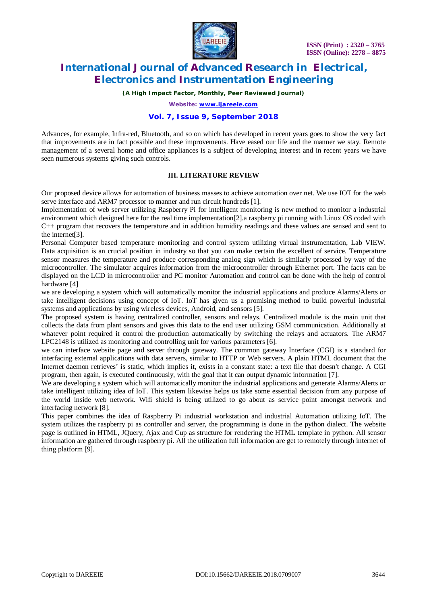

*(A High Impact Factor, Monthly, Peer Reviewed Journal)*

*Website: [www.ijareeie.com](http://www.ijareeie.com)*

#### **Vol. 7, Issue 9, September 2018**

Advances, for example, Infra-red, Bluetooth, and so on which has developed in recent years goes to show the very fact that improvements are in fact possible and these improvements. Have eased our life and the manner we stay. Remote management of a several home and office appliances is a subject of developing interest and in recent years we have seen numerous systems giving such controls.

#### **III. LITERATURE REVIEW**

Our proposed device allows for automation of business masses to achieve automation over net. We use IOT for the web serve interface and ARM7 processor to manner and run circuit hundreds [1].

Implementation of web server utilizing Raspberry Pi for intelligent monitoring is new method to monitor a industrial environment which designed here for the real time implementation[2].a raspberry pi running with Linux OS coded with C++ program that recovers the temperature and in addition humidity readings and these values are sensed and sent to the internet[3].

Personal Computer based temperature monitoring and control system utilizing virtual instrumentation, Lab VIEW. Data acquisition is an crucial position in industry so that you can make certain the excellent of service. Temperature sensor measures the temperature and produce corresponding analog sign which is similarly processed by way of the microcontroller. The simulator acquires information from the microcontroller through Ethernet port. The facts can be displayed on the LCD in microcontroller and PC monitor Automation and control can be done with the help of control hardware [4]

we are developing a system which will automatically monitor the industrial applications and produce Alarms/Alerts or take intelligent decisions using concept of IoT. IoT has given us a promising method to build powerful industrial systems and applications by using wireless devices, Android, and sensors [5].

The proposed system is having centralized controller, sensors and relays. Centralized module is the main unit that collects the data from plant sensors and gives this data to the end user utilizing GSM communication. Additionally at whatever point required it control the production automatically by switching the relays and actuators. The ARM7 LPC2148 is utilized as monitoring and controlling unit for various parameters [6].

we can interface website page and server through gateway. The common gateway Interface (CGI) is a standard for interfacing external applications with data servers, similar to HTTP or Web servers. A plain HTML document that the Internet daemon retrieves' is static, which implies it, exists in a constant state: a text file that doesn't change. A CGI program, then again, is executed continuously, with the goal that it can output dynamic information [7].

We are developing a system which will automatically monitor the industrial applications and generate Alarms/Alerts or take intelligent utilizing idea of IoT. This system likewise helps us take some essential decision from any purpose of the world inside web network. Wifi shield is being utilized to go about as service point amongst network and interfacing network [8].

This paper combines the idea of Raspberry Pi industrial workstation and industrial Automation utilizing IoT. The system utilizes the raspberry pi as controller and server, the programming is done in the python dialect. The website page is outlined in HTML, JQuery, Ajax and Cup as structure for rendering the HTML template in python. All sensor information are gathered through raspberry pi. All the utilization full information are get to remotely through internet of thing platform [9].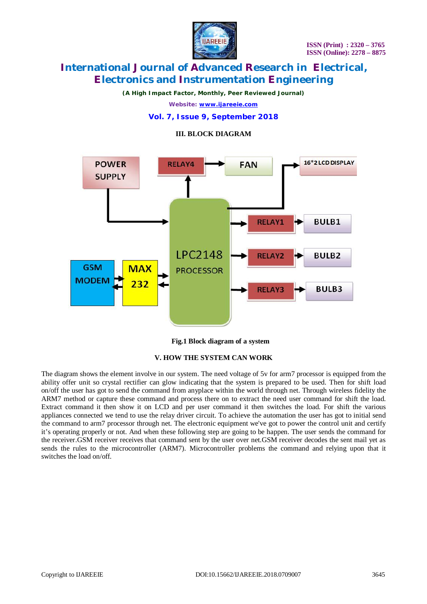

*(A High Impact Factor, Monthly, Peer Reviewed Journal)*

*Website: [www.ijareeie.com](http://www.ijareeie.com)*

### **Vol. 7, Issue 9, September 2018**

#### **III. BLOCK DIAGRAM**



 **Fig.1 Block diagram of a system**

#### **V. HOW THE SYSTEM CAN WORK**

The diagram shows the element involve in our system. The need voltage of 5v for arm7 processor is equipped from the ability offer unit so crystal rectifier can glow indicating that the system is prepared to be used. Then for shift load on/off the user has got to send the command from anyplace within the world through net. Through wireless fidelity the ARM7 method or capture these command and process there on to extract the need user command for shift the load. Extract command it then show it on LCD and per user command it then switches the load. For shift the various appliances connected we tend to use the relay driver circuit. To achieve the automation the user has got to initial send the command to arm7 processor through net. The electronic equipment we've got to power the control unit and certify it's operating properly or not. And when these following step are going to be happen. The user sends the command for the receiver.GSM receiver receives that command sent by the user over net.GSM receiver decodes the sent mail yet as sends the rules to the microcontroller (ARM7). Microcontroller problems the command and relying upon that it switches the load on/off.